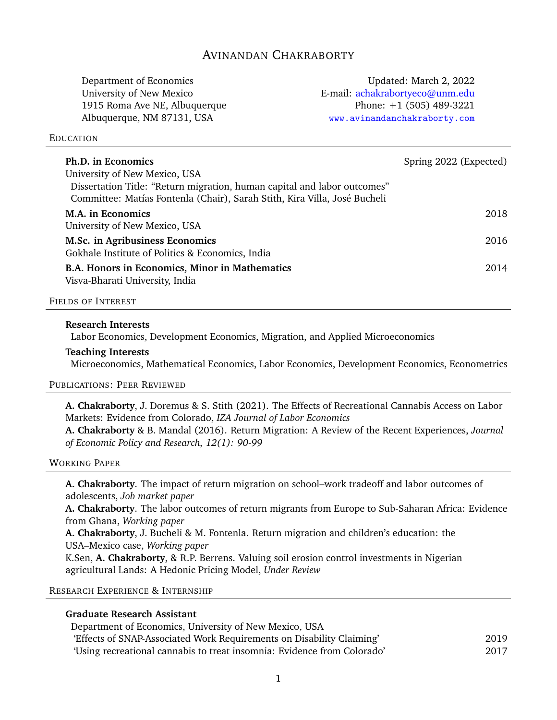# AVINANDAN C[HAKRABORTY](www.avinandanchakraborty.com)

Department of Economics Updated: March 2, 2022 University of New Mexico **E-mail:** [achakrabortyeco@unm.edu](mailto:achakrabortyeco@unm.edu) 1915 Roma Ave NE, Albuquerque Phone: +1 (505) 489-3221 Albuquerque, NM 87131, USA <www.avinandanchakraborty.com>

### **EDUCATION**

| Ph.D. in Economics<br>University of New Mexico, USA<br>Dissertation Title: "Return migration, human capital and labor outcomes" | Spring 2022 (Expected) |
|---------------------------------------------------------------------------------------------------------------------------------|------------------------|
| Committee: Matías Fontenla (Chair), Sarah Stith, Kira Villa, José Bucheli                                                       |                        |
| M.A. in Economics                                                                                                               | 2018                   |
| University of New Mexico, USA                                                                                                   |                        |
| M.Sc. in Agribusiness Economics                                                                                                 | 2016                   |
| Gokhale Institute of Politics & Economics, India                                                                                |                        |
| <b>B.A. Honors in Economics, Minor in Mathematics</b><br>Visva-Bharati University, India                                        | 2014                   |

FIELDS OF INTEREST

### **Research Interests**

Labor Economics, Development Economics, Migration, and Applied Microeconomics

#### **Teaching Interests**

Microeconomics, Mathematical Economics, Labor Economics, Development Economics, Econometrics

## PUBLICATIONS: PEER REVIEWED

**A. Chakraborty**, J. Doremus & S. Stith (2021). [The Effects of Recreational Cannabis Access on Labor](https://www.sciendo.com/article/10.2478/izajole-2021-0005) [Markets: Evidence from Colorado,](https://www.sciendo.com/article/10.2478/izajole-2021-0005) *IZA Journal of Labor Economics* **A. Chakraborty** & B. Mandal (2016). [Return Migration: A Review of the Recent Experiences,](https://www.ipeindia.org/wp-content/uploads/journals/jepr/joep-oct-mar-2017.pdf#page=92) *Journal of Economic Policy and Research, 12(1): 90-99*

WORKING PAPER

**A. Chakraborty**. [The impact of return migration on school–work tradeoff and labor outcomes of](https://unmm-my.sharepoint.com/:b:/g/personal/achakrabortyeco_unm_edu/EfFrwvGbaDJAg8XR8t3AFZ8Bgm9Us0nNov2p2iZqE48dlg) [adolescents,](https://unmm-my.sharepoint.com/:b:/g/personal/achakrabortyeco_unm_edu/EfFrwvGbaDJAg8XR8t3AFZ8Bgm9Us0nNov2p2iZqE48dlg) *Job market paper*

**A. Chakraborty**. The labor outcomes of return migrants from Europe to Sub-Saharan Africa: Evidence from Ghana, *Working paper*

**A. Chakraborty**, J. Bucheli & M. Fontenla. Return migration and children's education: the USA–Mexico case, *Working paper*

K.Sen, **A. Chakraborty**, & R.P. Berrens. Valuing soil erosion control investments in Nigerian agricultural Lands: A Hedonic Pricing Model, *Under Review*

### RESEARCH EXPERIENCE & INTERNSHIP

# **Graduate Research Assistant**

Department of Economics, University of New Mexico, USA 'Effects of SNAP-Associated Work Requirements on Disability Claiming' 2019 'Using recreational cannabis to treat insomnia: Evidence from Colorado' 2017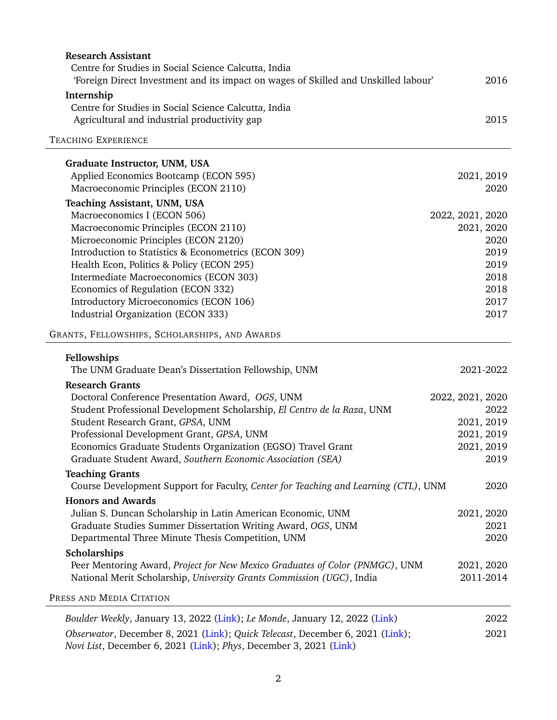| <b>Research Assistant</b><br>Centre for Studies in Social Science Calcutta, India<br>'Foreign Direct Investment and its impact on wages of Skilled and Unskilled labour' | 2016             |
|--------------------------------------------------------------------------------------------------------------------------------------------------------------------------|------------------|
|                                                                                                                                                                          |                  |
| Internship<br>Centre for Studies in Social Science Calcutta, India                                                                                                       |                  |
| Agricultural and industrial productivity gap                                                                                                                             | 2015             |
| TEACHING EXPERIENCE                                                                                                                                                      |                  |
| Graduate Instructor, UNM, USA                                                                                                                                            |                  |
| Applied Economics Bootcamp (ECON 595)                                                                                                                                    | 2021, 2019       |
| Macroeconomic Principles (ECON 2110)                                                                                                                                     | 2020             |
| Teaching Assistant, UNM, USA                                                                                                                                             |                  |
| Macroeconomics I (ECON 506)                                                                                                                                              | 2022, 2021, 2020 |
| Macroeconomic Principles (ECON 2110)                                                                                                                                     | 2021, 2020       |
| Microeconomic Principles (ECON 2120)                                                                                                                                     | 2020             |
| Introduction to Statistics & Econometrics (ECON 309)                                                                                                                     | 2019             |
| Health Econ, Politics & Policy (ECON 295)                                                                                                                                | 2019             |
| Intermediate Macroeconomics (ECON 303)                                                                                                                                   | 2018             |
| Economics of Regulation (ECON 332)                                                                                                                                       | 2018             |
| Introductory Microeconomics (ECON 106)                                                                                                                                   | 2017             |
| Industrial Organization (ECON 333)                                                                                                                                       | 2017             |
| GRANTS, FELLOWSHIPS, SCHOLARSHIPS, AND AWARDS                                                                                                                            |                  |
| Fellowships                                                                                                                                                              |                  |
| The UNM Graduate Dean's Dissertation Fellowship, UNM                                                                                                                     | 2021-2022        |
| <b>Research Grants</b>                                                                                                                                                   |                  |
| Doctoral Conference Presentation Award, OGS, UNM                                                                                                                         | 2022, 2021, 2020 |
| Student Professional Development Scholarship, El Centro de la Raza, UNM                                                                                                  | 2022             |
| Student Research Grant, GPSA, UNM                                                                                                                                        | 2021, 2019       |
| Professional Development Grant, GPSA, UNM                                                                                                                                | 2021, 2019       |
| Economics Graduate Students Organization (EGSO) Travel Grant                                                                                                             | 2021, 2019       |
| Graduate Student Award, Southern Economic Association (SEA)                                                                                                              | 2019             |
| <b>Teaching Grants</b><br>Course Development Support for Faculty, Center for Teaching and Learning (CTL), UNM                                                            | 2020             |
| <b>Honors and Awards</b>                                                                                                                                                 |                  |
|                                                                                                                                                                          |                  |
| Julian S. Duncan Scholarship in Latin American Economic, UNM                                                                                                             | 2021, 2020       |
| Graduate Studies Summer Dissertation Writing Award, OGS, UNM<br>Departmental Three Minute Thesis Competition, UNM                                                        | 2021<br>2020     |
| Scholarships                                                                                                                                                             |                  |
| Peer Mentoring Award, Project for New Mexico Graduates of Color (PNMGC), UNM                                                                                             | 2021, 2020       |
| National Merit Scholarship, University Grants Commission (UGC), India                                                                                                    | 2011-2014        |
| PRESS AND MEDIA CITATION                                                                                                                                                 |                  |
| Boulder Weekly, January 13, 2022 (Link); Le Monde, January 12, 2022 (Link)                                                                                               | 2022             |
| Obserwator, December 8, 2021 (Link); Quick Telecast, December 6, 2021 (Link);<br>Novi List, December 6, 2021 (Link); Phys, December 3, 2021 (Link)                       | 2021             |

 $\overline{a}$ 

 $\overline{a}$ 

 $\overline{a}$